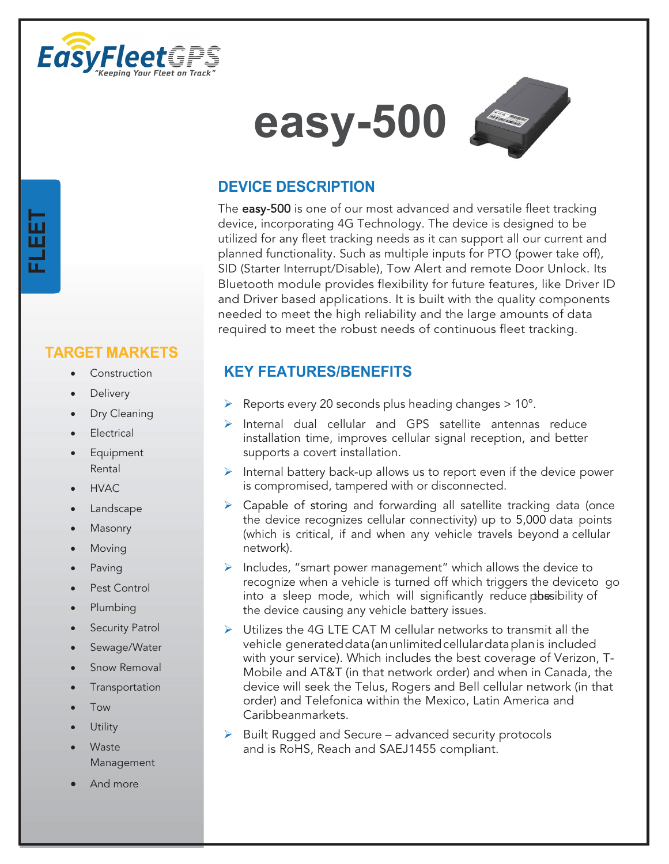





# **DEVICE DESCRIPTION**

The easy-500 is one of our most advanced and versatile fleet tracking device, incorporating 4G Technology. The device is designed to be utilized for any fleet tracking needs as it can support all our current and planned functionality. Such as multiple inputs for PTO (power take off), SID (Starter Interrupt/Disable), Tow Alert and remote Door Unlock. Its Bluetooth module provides flexibility for future features, like Driver ID and Driver based applications. It is built with the quality components needed to meet the high reliability and the large amounts of data required to meet the robust needs of continuous fleet tracking.

# **KEY FEATURES/BENEFITS**

- $\triangleright$  Reports every 20 seconds plus heading changes  $> 10^{\circ}$ .
- $\triangleright$  Internal dual cellular and GPS satellite antennas reduce installation time, improves cellular signal reception, and better supports a covert installation.
- $\triangleright$  Internal battery back-up allows us to report even if the device power is compromised, tampered with or disconnected.
- $\triangleright$  Capable of storing and forwarding all satellite tracking data (once the device recognizes cellular connectivity) up to 5,000 data points (which is critical, if and when any vehicle travels beyond a cellular network).
- $\triangleright$  Includes, "smart power management" which allows the device to recognize when a vehicle is turned off which triggers the deviceto go into a sleep mode, which will significantly reduce prossibility of the device causing any vehicle battery issues.
- ▶ Utilizes the 4G LTE CAT M cellular networks to transmit all the vehicle generated data (an unlimited cellular data plan is included with your service). Which includes the best coverage of Verizon, T-Mobile and AT&T (in that network order) and when in Canada, the device will seek the Telus, Rogers and Bell cellular network (in that order) and Telefonica within the Mexico, Latin America and Caribbean markets.
- $\triangleright$  Built Rugged and Secure advanced security protocols and is RoHS, Reach and SAEJ1455 compliant.

### **TARGET MARKETS**

- **Construction**
- **Delivery**

**FLEET**

- Dry Cleaning
- **Electrical**
- **Equipment** Rental
- HVAC
- **Landscape**
- **Masonry**
- **Moving**
- **Paving**
- Pest Control
- Plumbing
- **Security Patrol**
- Sewage/Water
- Snow Removal
- **Transportation**
- Tow
- **Utility**
- **Waste** Management
- And more